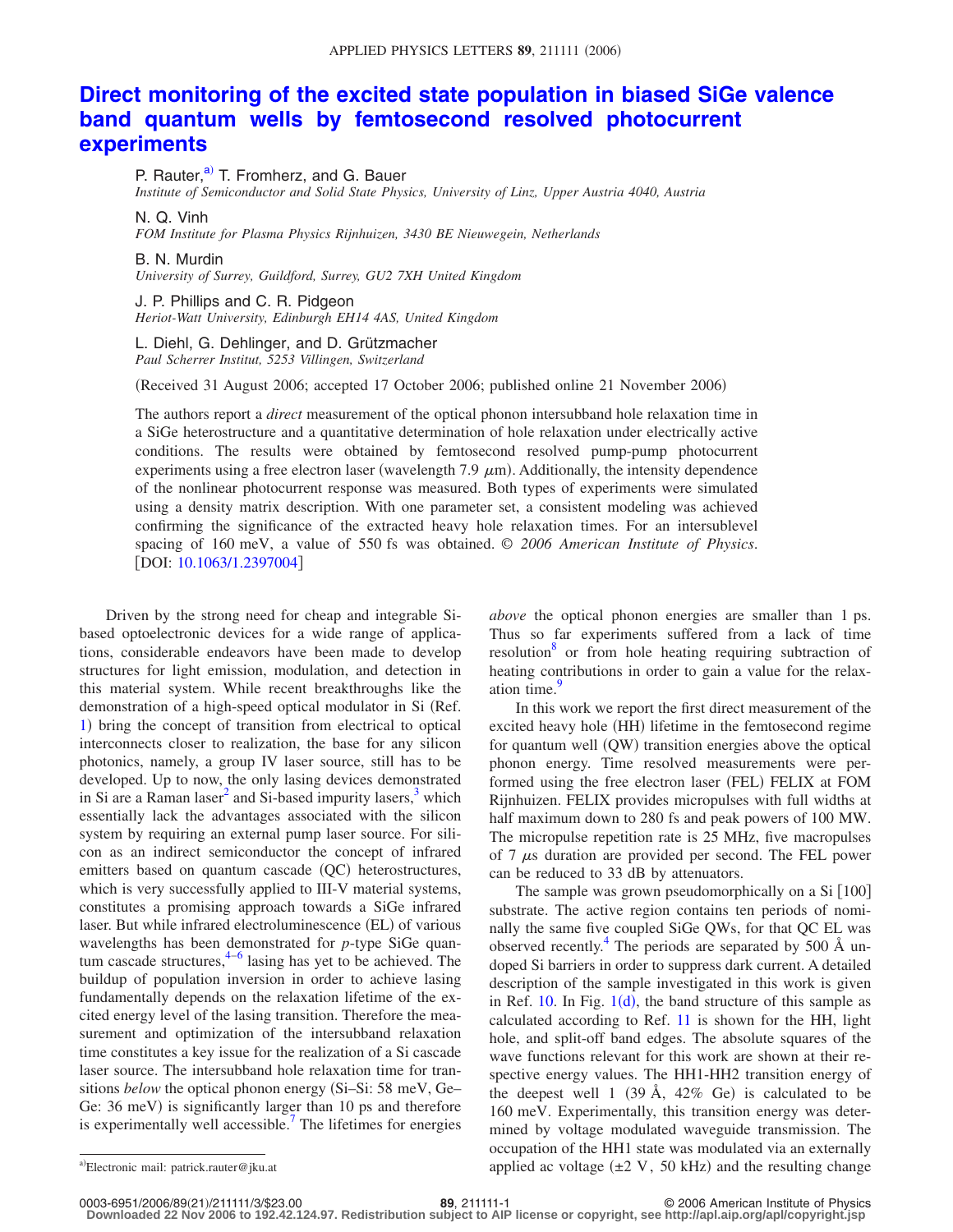## **[Direct monitoring of the excited state population in biased SiGe valence](http://dx.doi.org/10.1063/1.2397004) [band quantum wells by femtosecond resolved photocurrent](http://dx.doi.org/10.1063/1.2397004) [experiments](http://dx.doi.org/10.1063/1.2397004)**

P. Rauter, $a$ <sup>2</sup> T. Fromherz, and G. Bauer

*Institute of Semiconductor and Solid State Physics, University of Linz, Upper Austria 4040, Austria*

N. Q. Vinh

*FOM Institute for Plasma Physics Rijnhuizen, 3430 BE Nieuwegein, Netherlands*

B. N. Murdin

*University of Surrey, Guildford, Surrey, GU2 7XH United Kingdom*

J. P. Phillips and C. R. Pidgeon *Heriot-Watt University, Edinburgh EH14 4AS, United Kingdom*

L. Diehl, G. Dehlinger, and D. Grützmacher *Paul Scherrer Institut, 5253 Villingen, Switzerland*

(Received 31 August 2006; accepted 17 October 2006; published online 21 November 2006)

The authors report a *direct* measurement of the optical phonon intersubband hole relaxation time in a SiGe heterostructure and a quantitative determination of hole relaxation under electrically active conditions. The results were obtained by femtosecond resolved pump-pump photocurrent experiments using a free electron laser (wavelength 7.9  $\mu$ m). Additionally, the intensity dependence of the nonlinear photocurrent response was measured. Both types of experiments were simulated using a density matrix description. With one parameter set, a consistent modeling was achieved confirming the significance of the extracted heavy hole relaxation times. For an intersublevel spacing of 160 meV, a value of 550 fs was obtained. © *2006 American Institute of Physics*. [DOI: [10.1063/1.2397004](http://dx.doi.org/10.1063/1.2397004)]

Driven by the strong need for cheap and integrable Sibased optoelectronic devices for a wide range of applications, considerable endeavors have been made to develop structures for light emission, modulation, and detection in this material system. While recent breakthroughs like the demonstration of a high-speed optical modulator in Si (Ref. [1](#page-2-0)) bring the concept of transition from electrical to optical interconnects closer to realization, the base for any silicon photonics, namely, a group IV laser source, still has to be developed. Up to now, the only lasing devices demonstrated in Si are a Raman laser<sup>2</sup> and Si-based impurity lasers,<sup>3</sup> which essentially lack the advantages associated with the silicon system by requiring an external pump laser source. For silicon as an indirect semiconductor the concept of infrared emitters based on quantum cascade (QC) heterostructures, which is very successfully applied to III-V material systems, constitutes a promising approach towards a SiGe infrared laser. But while infrared electroluminescence (EL) of various wavelengths has been demonstrated for *p*-type SiGe quantum cascade structures, $4-6$  $4-6$  lasing has yet to be achieved. The buildup of population inversion in order to achieve lasing fundamentally depends on the relaxation lifetime of the excited energy level of the lasing transition. Therefore the measurement and optimization of the intersubband relaxation time constitutes a key issue for the realization of a Si cascade laser source. The intersubband hole relaxation time for transitions *below* the optical phonon energy (Si–Si: 58 meV, Ge– Ge: 36 meV) is significantly larger than 10 ps and therefore is experimentally well accessible.<sup>7</sup> The lifetimes for energies

*above* the optical phonon energies are smaller than 1 ps. Thus so far experiments suffered from a lack of time resolution<sup>8</sup> or from hole heating requiring subtraction of heating contributions in order to gain a value for the relaxation time.<sup>9</sup>

In this work we report the first direct measurement of the excited heavy hole (HH) lifetime in the femtosecond regime for quantum well (QW) transition energies above the optical phonon energy. Time resolved measurements were performed using the free electron laser (FEL) FELIX at FOM Rijnhuizen. FELIX provides micropulses with full widths at half maximum down to 280 fs and peak powers of 100 MW. The micropulse repetition rate is 25 MHz, five macropulses of 7  $\mu$ s duration are provided per second. The FEL power can be reduced to 33 dB by attenuators.

The sample was grown pseudomorphically on a  $Si [100]$ substrate. The active region contains ten periods of nominally the same five coupled SiGe QWs, for that QC EL was observed recently.<sup>4</sup> The periods are separated by 500  $\AA$  undoped Si barriers in order to suppress dark current. A detailed description of the sample investigated in this work is given in Ref.  $10$  $10$ . In Fig.  $1(d)$ , the band structure of this sample as calculated according to Ref. [11](#page-2-9) is shown for the HH, light hole, and split-off band edges. The absolute squares of the wave functions relevant for this work are shown at their respective energy values. The HH1-HH2 transition energy of the deepest well 1 (39 Å,  $42\%$  Ge) is calculated to be 160 meV. Experimentally, this transition energy was determined by voltage modulated waveguide transmission. The occupation of the HH1 state was modulated via an externally a)Electronic mail: patrick.rauter@jku.at **a** applied ac voltage  $(\pm 2 \text{ V}, 50 \text{ kHz})$  and the resulting change

0003-6951/2006/89(21)/211111/3/\$23.00

21/211111/3/\$23.00 © 2006 American Institute of Physics **89**, 211111-1 **Downloaded 22 Nov 2006 to 192.42.124.97. Redistribution subject to AIP license or copyright, see http://apl.aip.org/apl/copyright.jsp**

<span id="page-0-0"></span>Electronic mail: patrick.rauter@jku.at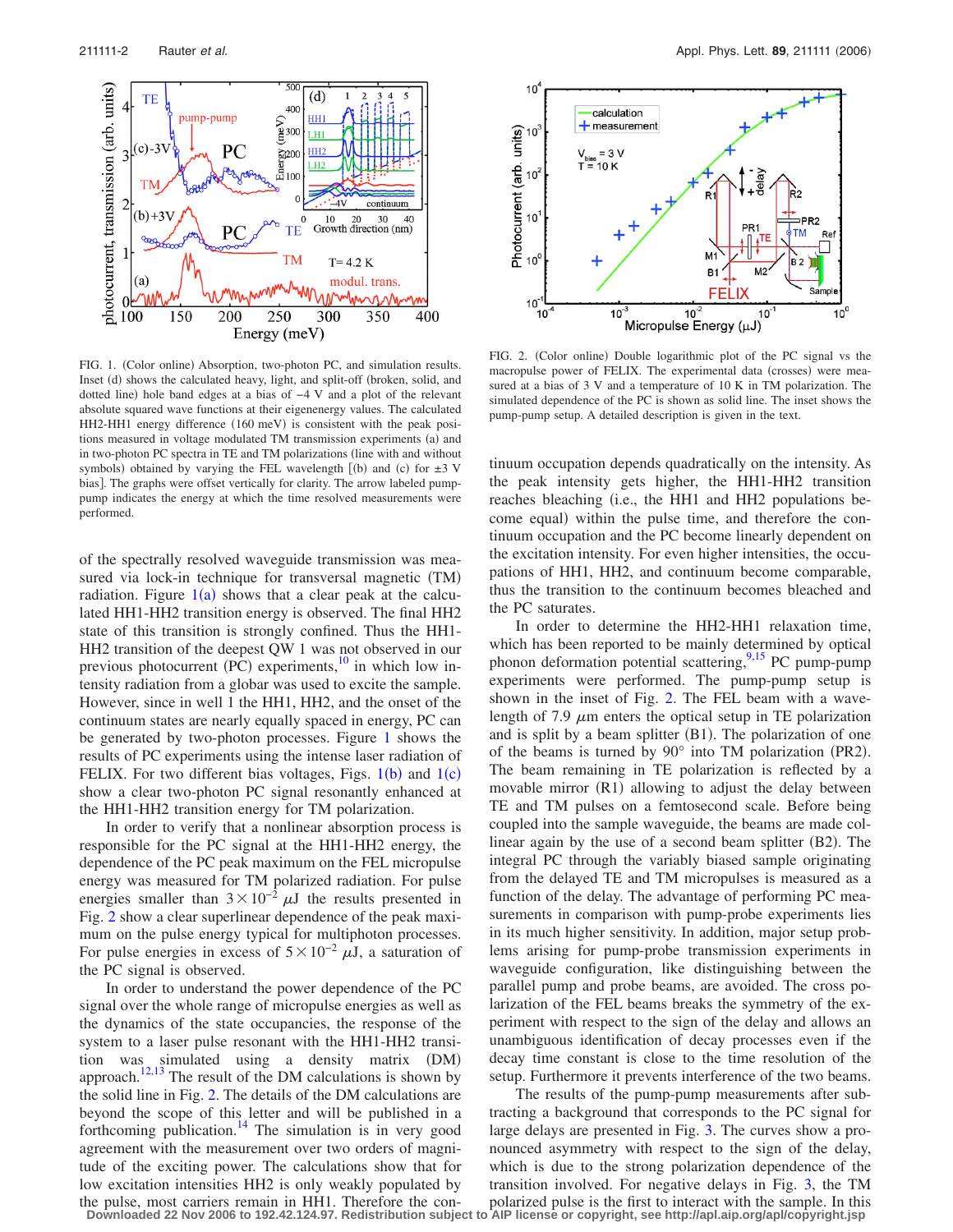<span id="page-1-0"></span>

FIG. 1. (Color online) Absorption, two-photon PC, and simulation results. Inset (d) shows the calculated heavy, light, and split-off (broken, solid, and dotted line) hole band edges at a bias of −4 V and a plot of the relevant absolute squared wave functions at their eigenenergy values. The calculated HH2-HH1 energy difference (160 meV) is consistent with the peak positions measured in voltage modulated TM transmission experiments (a) and in two-photon PC spectra in TE and TM polarizations (line with and without symbols) obtained by varying the FEL wavelength  $[(b)$  and  $(c)$  for  $\pm 3$  V bias]. The graphs were offset vertically for clarity. The arrow labeled pumppump indicates the energy at which the time resolved measurements were performed.

of the spectrally resolved waveguide transmission was measured via lock-in technique for transversal magnetic (TM) radiation. Figure  $1(a)$  $1(a)$  shows that a clear peak at the calculated HH1-HH2 transition energy is observed. The final HH2 state of this transition is strongly confined. Thus the HH1- HH2 transition of the deepest QW 1 was not observed in our previous photocurrent  $(PC)$  experiments,<sup>10</sup> in which low intensity radiation from a globar was used to excite the sample. However, since in well 1 the HH1, HH2, and the onset of the continuum states are nearly equally spaced in energy, PC can be generated by two-photon processes. Figure [1](#page-1-0) shows the results of PC experiments using the intense laser radiation of FELIX. For two different bias voltages, Figs.  $1(b)$  $1(b)$  and  $1(c)$ show a clear two-photon PC signal resonantly enhanced at the HH1-HH2 transition energy for TM polarization.

In order to verify that a nonlinear absorption process is responsible for the PC signal at the HH1-HH2 energy, the dependence of the PC peak maximum on the FEL micropulse energy was measured for TM polarized radiation. For pulse energies smaller than  $3 \times 10^{-2} \mu J$  the results presented in Fig. [2](#page-1-1) show a clear superlinear dependence of the peak maximum on the pulse energy typical for multiphoton processes. For pulse energies in excess of  $5 \times 10^{-2} \mu J$ , a saturation of the PC signal is observed.

In order to understand the power dependence of the PC signal over the whole range of micropulse energies as well as the dynamics of the state occupancies, the response of the system to a laser pulse resonant with the HH1-HH2 transition was simulated using a density matrix DM- approach.<sup>12,[13](#page-2-11)</sup> The result of the DM calculations is shown by the solid line in Fig. [2.](#page-1-1) The details of the DM calculations are beyond the scope of this letter and will be published in a forthcoming publication. $14$  The simulation is in very good agreement with the measurement over two orders of magnitude of the exciting power. The calculations show that for low excitation intensities HH2 is only weakly populated by the pulse, most carriers remain in HH1. Therefore the con-**Downloaded 22 Nov 2006 to 192.42.124.97. Redistribution subject to AIP license or copyright, see http://apl.aip.org/apl/copyright.jsp**

<span id="page-1-1"></span>

FIG. 2. (Color online) Double logarithmic plot of the PC signal vs the macropulse power of FELIX. The experimental data (crosses) were measured at a bias of 3 V and a temperature of 10 K in TM polarization. The simulated dependence of the PC is shown as solid line. The inset shows the pump-pump setup. A detailed description is given in the text.

tinuum occupation depends quadratically on the intensity. As the peak intensity gets higher, the HH1-HH2 transition reaches bleaching (i.e., the HH1 and HH2 populations become equal) within the pulse time, and therefore the continuum occupation and the PC become linearly dependent on the excitation intensity. For even higher intensities, the occupations of HH1, HH2, and continuum become comparable, thus the transition to the continuum becomes bleached and the PC saturates.

In order to determine the HH2-HH1 relaxation time, which has been reported to be mainly determined by optical phonon deformation potential scattering,<sup>9[,15](#page-2-13)</sup> PC pump-pump experiments were performed. The pump-pump setup is shown in the inset of Fig. [2.](#page-1-1) The FEL beam with a wavelength of 7.9  $\mu$ m enters the optical setup in TE polarization and is split by a beam splitter (B1). The polarization of one of the beams is turned by  $90^\circ$  into TM polarization (PR2). The beam remaining in TE polarization is reflected by a movable mirror (R1) allowing to adjust the delay between TE and TM pulses on a femtosecond scale. Before being coupled into the sample waveguide, the beams are made collinear again by the use of a second beam splitter (B2). The integral PC through the variably biased sample originating from the delayed TE and TM micropulses is measured as a function of the delay. The advantage of performing PC measurements in comparison with pump-probe experiments lies in its much higher sensitivity. In addition, major setup problems arising for pump-probe transmission experiments in waveguide configuration, like distinguishing between the parallel pump and probe beams, are avoided. The cross polarization of the FEL beams breaks the symmetry of the experiment with respect to the sign of the delay and allows an unambiguous identification of decay processes even if the decay time constant is close to the time resolution of the setup. Furthermore it prevents interference of the two beams.

The results of the pump-pump measurements after subtracting a background that corresponds to the PC signal for large delays are presented in Fig. [3.](#page-2-14) The curves show a pronounced asymmetry with respect to the sign of the delay, which is due to the strong polarization dependence of the transition involved. For negative delays in Fig. [3,](#page-2-14) the TM polarized pulse is the first to interact with the sample. In this